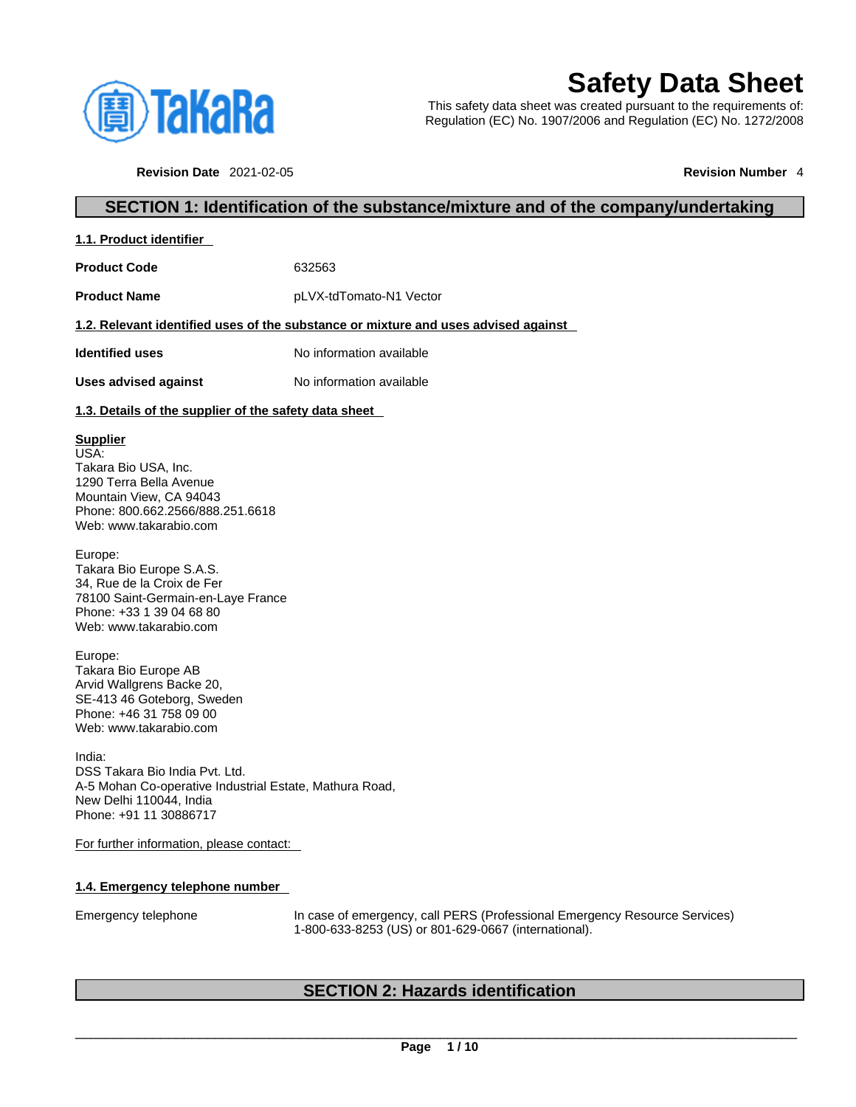

# **Safety Data Sheet**

This safety data sheet was created pursuant to the requirements of: Regulation (EC) No. 1907/2006 and Regulation (EC) No. 1272/2008

**Revision Date** 2021-02-05 **Revision Number** 4

# **SECTION 1: Identification of the substance/mixture and of the company/undertaking**

| 1.1. Product identifier |
|-------------------------|
|-------------------------|

**Product Code** 632563

**Product Name** pLVX-tdTomato-N1 Vector

#### **1.2. Relevant identified uses of the substance or mixture and uses advised against**

**Identified uses** No information available

**Uses advised against** No information available

### **1.3. Details of the supplier of the safety data sheet**

### **Supplier**

USA: Takara Bio USA, Inc. 1290 Terra Bella Avenue Mountain View, CA 94043 Phone: 800.662.2566/888.251.6618 Web: www.takarabio.com

Europe: Takara Bio Europe S.A.S. 34, Rue de la Croix de Fer 78100 Saint-Germain-en-Laye France Phone: +33 1 39 04 68 80 Web: www.takarabio.com

Europe: Takara Bio Europe AB Arvid Wallgrens Backe 20, SE-413 46 Goteborg, Sweden Phone: +46 31 758 09 00 Web: www.takarabio.com

India: DSS Takara Bio India Pvt. Ltd. A-5 Mohan Co-operative Industrial Estate, Mathura Road, New Delhi 110044, India Phone: +91 11 30886717

For further information, please contact:

#### **1.4. Emergency telephone number**

Emergency telephone In case of emergency, call PERS (Professional Emergency Resource Services) 1-800-633-8253 (US) or 801-629-0667 (international).

# **SECTION 2: Hazards identification**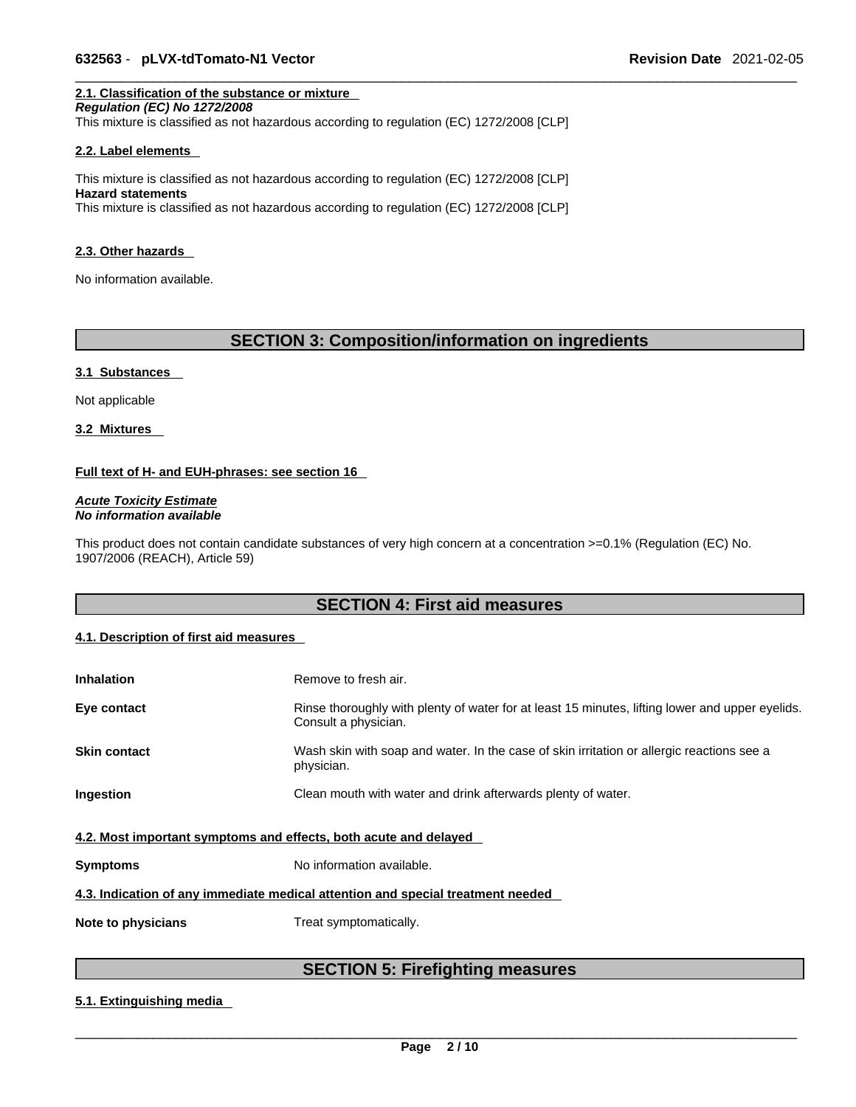# **2.1. Classification of the substance or mixture**

*Regulation (EC) No 1272/2008*  This mixture is classified as not hazardous according to regulation (EC) 1272/2008 [CLP]

#### **2.2. Label elements**

This mixture is classified as not hazardous according to regulation (EC) 1272/2008 [CLP] **Hazard statements** This mixture is classified as not hazardous according to regulation (EC) 1272/2008 [CLP]

#### **2.3. Other hazards**

No information available.

# **SECTION 3: Composition/information on ingredients**

#### **3.1 Substances**

Not applicable

**3.2 Mixtures** 

#### **Full text of H- and EUH-phrases: see section 16**

*Acute Toxicity Estimate No information available* 

This product does not contain candidate substances of very high concern at a concentration >=0.1% (Regulation (EC) No. 1907/2006 (REACH), Article 59)

# **SECTION 4: First aid measures**

#### **4.1. Description of first aid measures**

| <b>Inhalation</b>                                                               | Remove to fresh air.                                                                                                    |  |
|---------------------------------------------------------------------------------|-------------------------------------------------------------------------------------------------------------------------|--|
| Eye contact                                                                     | Rinse thoroughly with plenty of water for at least 15 minutes, lifting lower and upper eyelids.<br>Consult a physician. |  |
| <b>Skin contact</b>                                                             | Wash skin with soap and water. In the case of skin irritation or allergic reactions see a<br>physician.                 |  |
| Ingestion                                                                       | Clean mouth with water and drink afterwards plenty of water.                                                            |  |
| 4.2. Most important symptoms and effects, both acute and delayed                |                                                                                                                         |  |
| <b>Symptoms</b>                                                                 | No information available.                                                                                               |  |
| 4.3. Indication of any immediate medical attention and special treatment needed |                                                                                                                         |  |
| Note to physicians                                                              | Treat symptomatically.                                                                                                  |  |

# **SECTION 5: Firefighting measures**

#### **5.1. Extinguishing media**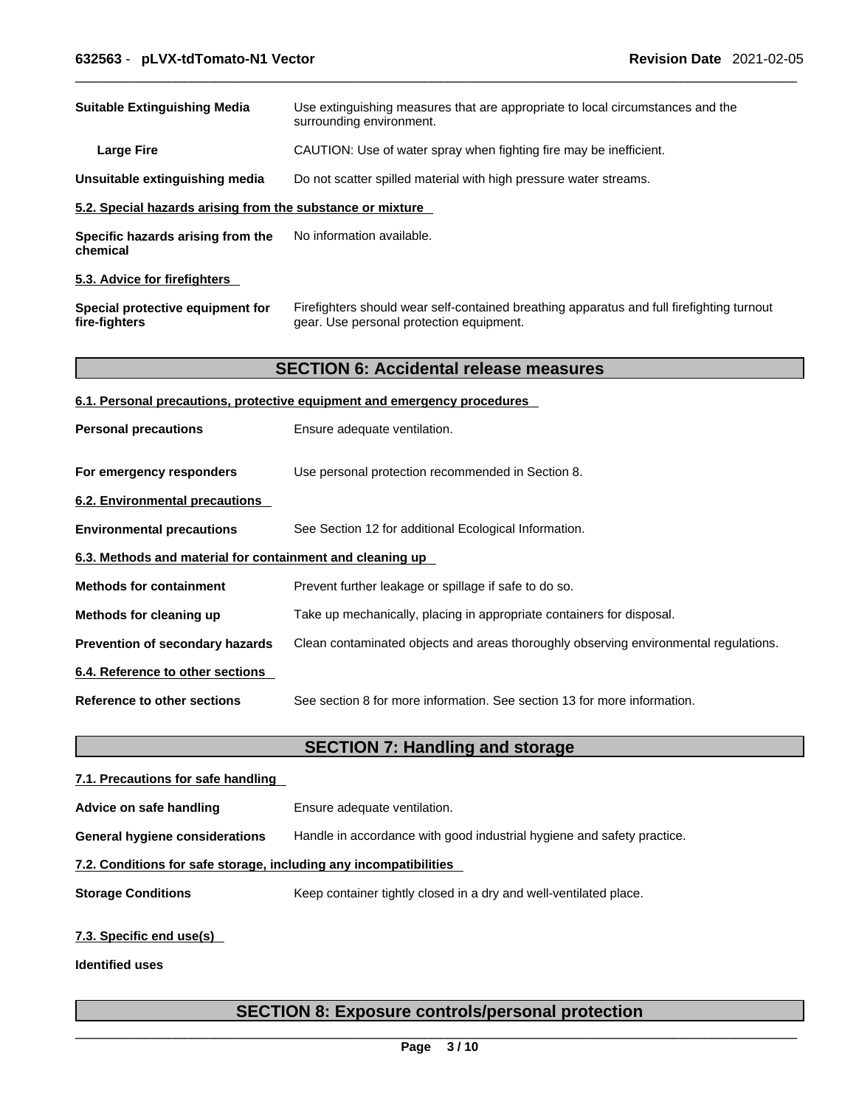| <b>Suitable Extinguishing Media</b>                        | Use extinguishing measures that are appropriate to local circumstances and the<br>surrounding environment.                            |
|------------------------------------------------------------|---------------------------------------------------------------------------------------------------------------------------------------|
| <b>Large Fire</b>                                          | CAUTION: Use of water spray when fighting fire may be inefficient.                                                                    |
| Unsuitable extinguishing media                             | Do not scatter spilled material with high pressure water streams.                                                                     |
| 5.2. Special hazards arising from the substance or mixture |                                                                                                                                       |
| Specific hazards arising from the<br>chemical              | No information available.                                                                                                             |
| 5.3. Advice for firefighters                               |                                                                                                                                       |
| Special protective equipment for<br>fire-fighters          | Firefighters should wear self-contained breathing apparatus and full firefighting turnout<br>gear. Use personal protection equipment. |
|                                                            | <b>SECTION 6: Accidental release measures</b>                                                                                         |
|                                                            | 6.1. Personal precautions, protective equipment and emergency procedures                                                              |
| <b>Personal precautions</b>                                | Ensure adequate ventilation.                                                                                                          |
| For emergency responders                                   | Use personal protection recommended in Section 8.                                                                                     |
| 6.2. Environmental precautions                             |                                                                                                                                       |
| <b>Environmental precautions</b>                           | See Section 12 for additional Ecological Information.                                                                                 |
| 6.3. Methods and material for containment and cleaning up  |                                                                                                                                       |
| <b>Methods for containment</b>                             | Prevent further leakage or spillage if safe to do so.                                                                                 |
| Methods for cleaning up                                    | Take up mechanically, placing in appropriate containers for disposal.                                                                 |
| Prevention of secondary hazards                            | Clean contaminated objects and areas thoroughly observing environmental regulations.                                                  |
| 6.4. Reference to other sections                           |                                                                                                                                       |
| <b>Reference to other sections</b>                         | See section 8 for more information. See section 13 for more information.                                                              |
|                                                            | <b>SECTION 7: Handling and storage</b>                                                                                                |
| 7.1. Precautions for safe handling                         |                                                                                                                                       |
| Advice on safe handling                                    | Ensure adequate ventilation.                                                                                                          |

**General hygiene considerations** Handle in accordance with good industrial hygiene and safety practice.

#### **7.2. Conditions for safe storage, including any incompatibilities**

**Storage Conditions** Keep container tightly closed in a dry and well-ventilated place.

# **7.3. Specific end use(s)**

**Identified uses**

# **SECTION 8: Exposure controls/personal protection**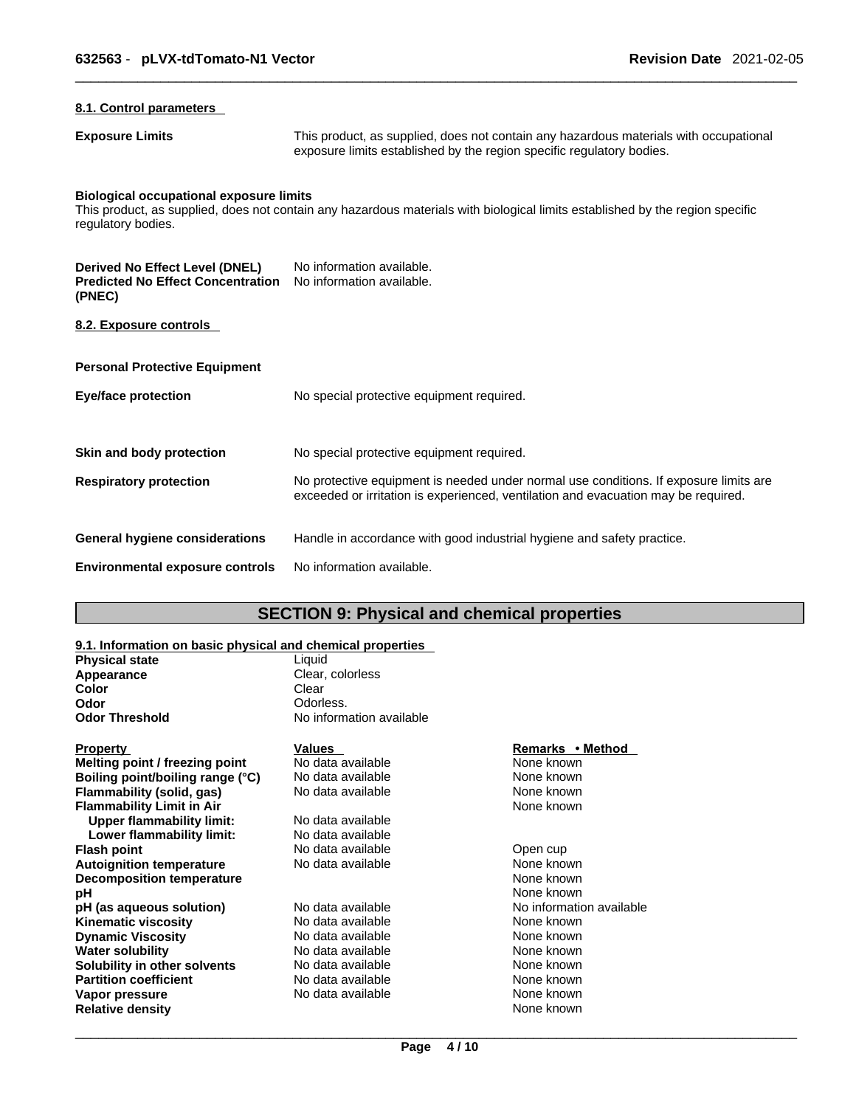### **8.1. Control parameters**

**Exposure Limits** This product, as supplied, does not contain any hazardous materials with occupational exposure limits established by the region specific regulatory bodies.

# **Biological occupational exposure limits**

This product, as supplied, does not contain any hazardous materials with biological limits established by the region specific regulatory bodies.

| Derived No Effect Level (DNEL)<br><b>Predicted No Effect Concentration</b><br>(PNEC) | No information available.<br>No information available.                                                                                                                      |
|--------------------------------------------------------------------------------------|-----------------------------------------------------------------------------------------------------------------------------------------------------------------------------|
| 8.2. Exposure controls                                                               |                                                                                                                                                                             |
| <b>Personal Protective Equipment</b>                                                 |                                                                                                                                                                             |
| Eye/face protection                                                                  | No special protective equipment required.                                                                                                                                   |
| Skin and body protection                                                             | No special protective equipment required.                                                                                                                                   |
| <b>Respiratory protection</b>                                                        | No protective equipment is needed under normal use conditions. If exposure limits are<br>exceeded or irritation is experienced, ventilation and evacuation may be required. |
| General hygiene considerations                                                       | Handle in accordance with good industrial hygiene and safety practice.                                                                                                      |
| <b>Environmental exposure controls</b>                                               | No information available.                                                                                                                                                   |

# **SECTION 9: Physical and chemical properties**

#### **9.1. Information on basic physical and chemical properties**

| <b>Physical state</b> | Liauid                   |
|-----------------------|--------------------------|
| Appearance            | Clear, colorless         |
| Color                 | Clear                    |
| Odor                  | Odorless.                |
| <b>Odor Threshold</b> | No information available |
|                       |                          |
|                       |                          |

| Property                         | Values            | Remarks • Method         |  |
|----------------------------------|-------------------|--------------------------|--|
| Melting point / freezing point   | No data available | None known               |  |
| Boiling point/boiling range (°C) | No data available | None known               |  |
| Flammability (solid, gas)        | No data available | None known               |  |
| Flammability Limit in Air        |                   | None known               |  |
| Upper flammability limit:        | No data available |                          |  |
| Lower flammability limit:        | No data available |                          |  |
| Flash point                      | No data available | Open cup                 |  |
| <b>Autoignition temperature</b>  | No data available | None known               |  |
| <b>Decomposition temperature</b> |                   | None known               |  |
| pН                               |                   | None known               |  |
| pH (as aqueous solution)         | No data available | No information available |  |
| Kinematic viscosity              | No data available | None known               |  |
| <b>Dynamic Viscosity</b>         | No data available | None known               |  |
| Water solubility                 | No data available | None known               |  |
| Solubility in other solvents     | No data available | None known               |  |
| <b>Partition coefficient</b>     | No data available | None known               |  |
| Vapor pressure                   | No data available | None known               |  |
| Relative density                 |                   | None known               |  |
|                                  |                   |                          |  |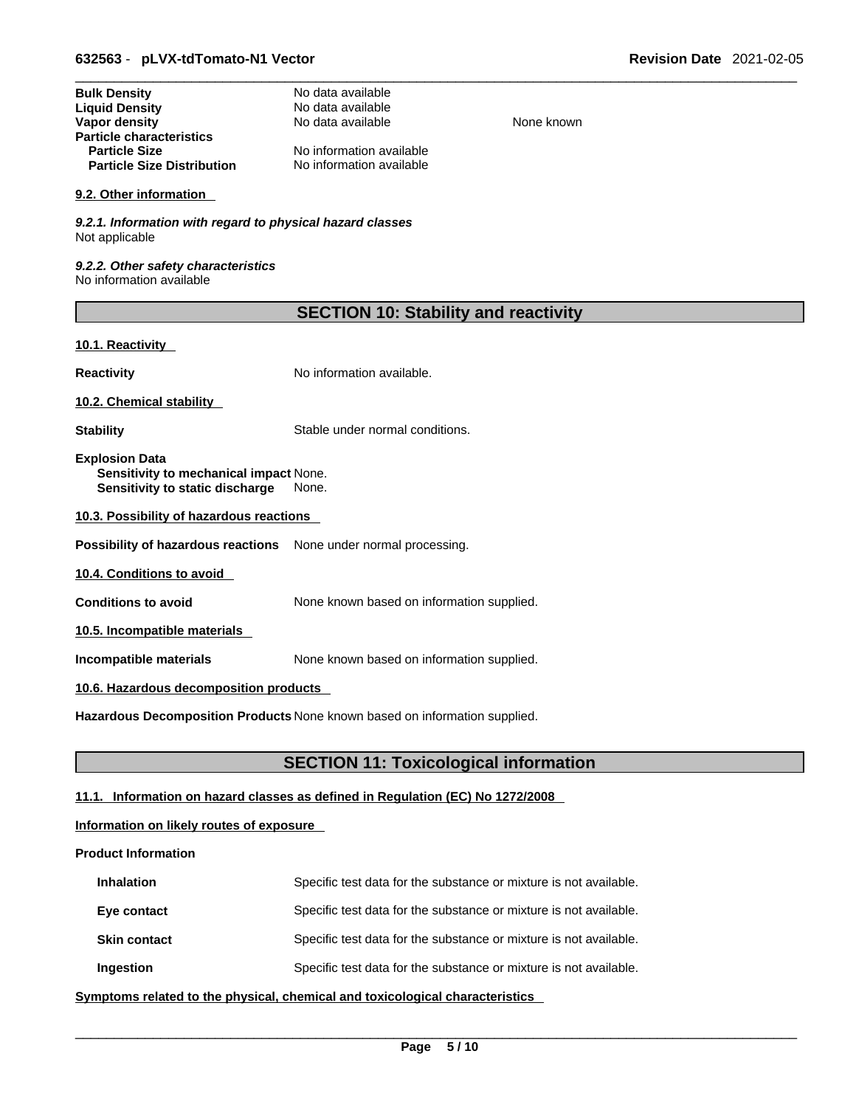| <b>Bulk Density</b>               | No data available        |
|-----------------------------------|--------------------------|
| <b>Liquid Density</b>             | No data available        |
| Vapor density                     | No data available        |
| <b>Particle characteristics</b>   |                          |
| <b>Particle Size</b>              | No information available |
| <b>Particle Size Distribution</b> | No information available |

#### **9.2. Other information**

*9.2.1. Information with regard to physical hazard classes* Not applicable

*9.2.2. Other safety characteristics* No information available

| <b>SECTION 10: Stability and reactivity</b> |  |
|---------------------------------------------|--|
|---------------------------------------------|--|

**None known** 

#### **10.1. Reactivity**

**Reactivity No information available.** 

**10.2. Chemical stability** 

**Stability** Stable under normal conditions.

**Explosion Data Sensitivity to mechanical impact** None. **Sensitivity to static discharge** None.

**10.3. Possibility of hazardous reactions**

**Possibility of hazardous reactions** None under normal processing.

**10.4. Conditions to avoid** 

**Conditions to avoid** None known based on information supplied.

**10.5. Incompatible materials**

**Incompatible materials** None known based on information supplied.

#### **10.6. Hazardous decomposition products**

**Hazardous Decomposition Products** None known based on information supplied.

# **SECTION 11: Toxicological information**

# **11.1. Information on hazard classes as defined in Regulation (EC) No 1272/2008**

# **Information on likely routes of exposure**

### **Product Information**

| <b>Inhalation</b>   | Specific test data for the substance or mixture is not available. |
|---------------------|-------------------------------------------------------------------|
| Eye contact         | Specific test data for the substance or mixture is not available. |
| <b>Skin contact</b> | Specific test data for the substance or mixture is not available. |
| Ingestion           | Specific test data for the substance or mixture is not available. |

**<u>Symptoms related to the physical, chemical and toxicological characteristics</u>**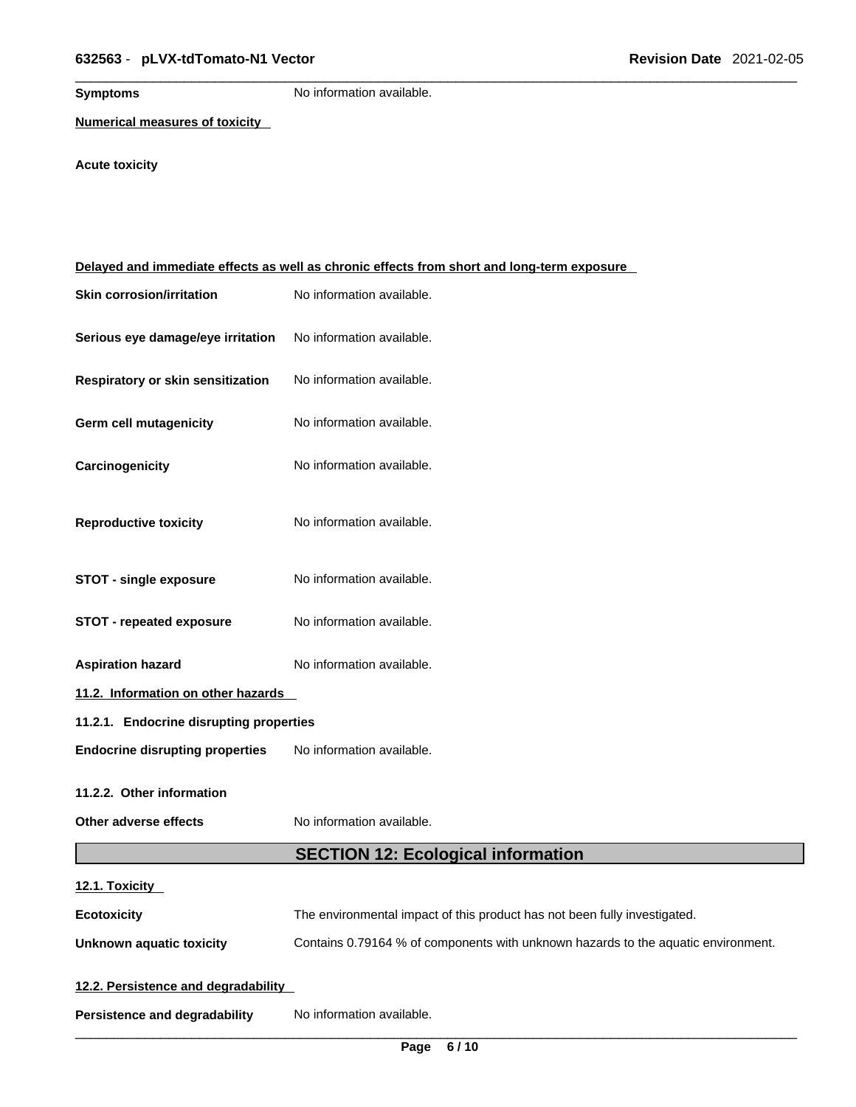**Symptoms** No information available.

**Numerical measures of toxicity**

# **Acute toxicity**

|                                         | Delayed and immediate effects as well as chronic effects from short and long-term exposure |  |
|-----------------------------------------|--------------------------------------------------------------------------------------------|--|
| <b>Skin corrosion/irritation</b>        | No information available.                                                                  |  |
| Serious eye damage/eye irritation       | No information available.                                                                  |  |
| Respiratory or skin sensitization       | No information available.                                                                  |  |
| <b>Germ cell mutagenicity</b>           | No information available.                                                                  |  |
| Carcinogenicity                         | No information available.                                                                  |  |
| <b>Reproductive toxicity</b>            | No information available.                                                                  |  |
| <b>STOT - single exposure</b>           | No information available.                                                                  |  |
| <b>STOT - repeated exposure</b>         | No information available.                                                                  |  |
| <b>Aspiration hazard</b>                | No information available.                                                                  |  |
| 11.2. Information on other hazards      |                                                                                            |  |
| 11.2.1. Endocrine disrupting properties |                                                                                            |  |
| <b>Endocrine disrupting properties</b>  | No information available.                                                                  |  |
| 11.2.2. Other information               |                                                                                            |  |
| Other adverse effects                   | No information available.                                                                  |  |
|                                         | <b>SECTION 12: Ecological information</b>                                                  |  |
| 12.1. Toxicity                          |                                                                                            |  |
| <b>Ecotoxicity</b>                      | The environmental impact of this product has not been fully investigated.                  |  |
| <b>Unknown aquatic toxicity</b>         | Contains 0.79164 % of components with unknown hazards to the aquatic environment.          |  |
| 12.2. Persistence and degradability     |                                                                                            |  |
| <b>Persistence and degradability</b>    | No information available.                                                                  |  |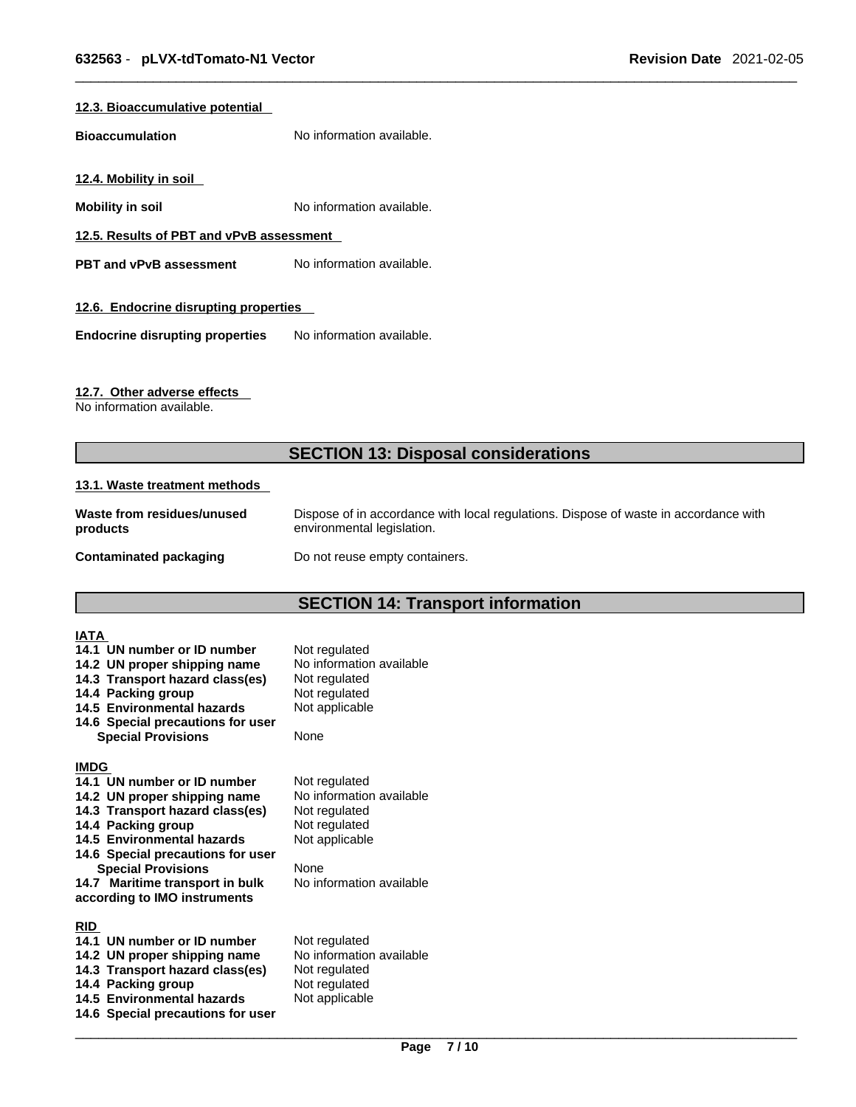#### **12.3. Bioaccumulative potential**

**Bioaccumulation** No information available.

**12.4. Mobility in soil** 

**Mobility in soil Mobility in soil No** information available.

**12.5. Results of PBT and vPvB assessment**

**PBT** and **vPvB** assessment No information available.

#### **12.6. Endocrine disrupting properties**

**Endocrine disrupting properties** No information available.

#### **12.7. Other adverse effects**

No information available.

# **SECTION 13: Disposal considerations**

#### **13.1. Waste treatment methods**

| Waste from residues/unused | Dispose of in accordance with local regulations. Dispose of waste in accordance with |
|----------------------------|--------------------------------------------------------------------------------------|
| products                   | environmental legislation.                                                           |
| Contaminated packaging     | Do not reuse empty containers.                                                       |

# **SECTION 14: Transport information**

| <b>IATA</b><br>14.1 UN number or ID number<br>14.2 UN proper shipping name<br>14.3 Transport hazard class(es)<br>14.4 Packing group<br>14.5 Environmental hazards<br>14.6 Special precautions for user<br><b>Special Provisions</b>                                                                    | Not regulated<br>No information available<br>Not regulated<br>Not regulated<br>Not applicable<br>None                             |
|--------------------------------------------------------------------------------------------------------------------------------------------------------------------------------------------------------------------------------------------------------------------------------------------------------|-----------------------------------------------------------------------------------------------------------------------------------|
| <b>IMDG</b><br>14.1 UN number or ID number<br>14.2 UN proper shipping name<br>14.3 Transport hazard class(es)<br>14.4 Packing group<br>14.5 Environmental hazards<br>14.6 Special precautions for user<br><b>Special Provisions</b><br>14.7 Maritime transport in bulk<br>according to IMO instruments | Not regulated<br>No information available<br>Not regulated<br>Not regulated<br>Not applicable<br>None<br>No information available |
| <b>RID</b><br>14.1 UN number or ID number<br>14.2 UN proper shipping name<br>14.3 Transport hazard class(es)<br>14.4 Packing group<br>14.5 Environmental hazards<br>14.6 Special precautions for user                                                                                                  | Not regulated<br>No information available<br>Not regulated<br>Not regulated<br>Not applicable                                     |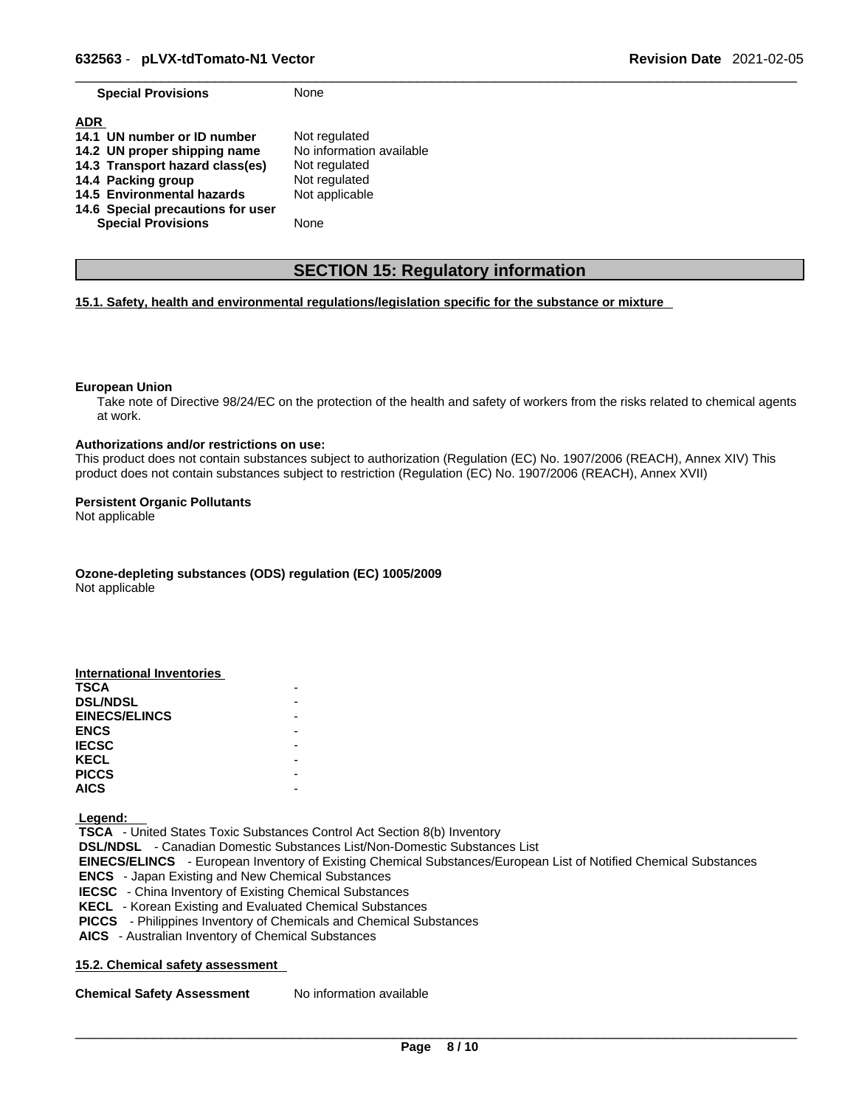**Special Provisions** None

| <b>ADR</b>                        |                          |
|-----------------------------------|--------------------------|
| 14.1 UN number or ID number       | Not regulated            |
| 14.2 UN proper shipping name      | No information available |
| 14.3 Transport hazard class(es)   | Not regulated            |
| 14.4 Packing group                | Not regulated            |
| 14.5 Environmental hazards        | Not applicable           |
| 14.6 Special precautions for user |                          |
| <b>Special Provisions</b>         | None                     |

# **SECTION 15: Regulatory information**

#### **15.1. Safety, health and environmental regulations/legislation specific for the substance or mixture**

#### **European Union**

Take note of Directive 98/24/EC on the protection of the health and safety of workers from the risks related to chemical agents at work.

#### **Authorizations and/or restrictions on use:**

This product does not contain substances subject to authorization (Regulation (EC) No. 1907/2006 (REACH), Annex XIV) This product does not contain substances subject to restriction (Regulation (EC) No. 1907/2006 (REACH), Annex XVII)

#### **Persistent Organic Pollutants**

Not applicable

**Ozone-depleting substances (ODS) regulation (EC) 1005/2009**

Not applicable

| International Inventories |  |
|---------------------------|--|
| <b>TSCA</b>               |  |
| <b>DSL/NDSL</b>           |  |
| <b>EINECS/ELINCS</b>      |  |
| <b>ENCS</b>               |  |
| <b>IECSC</b>              |  |
| <b>KECL</b>               |  |
| <b>PICCS</b>              |  |
| <b>AICS</b>               |  |

 **Legend:** 

 **TSCA** - United States Toxic Substances Control Act Section 8(b) Inventory  **DSL/NDSL** - Canadian Domestic Substances List/Non-Domestic Substances List  **EINECS/ELINCS** - European Inventory of Existing Chemical Substances/European List of Notified Chemical Substances  **ENCS** - Japan Existing and New Chemical Substances  **IECSC** - China Inventory of Existing Chemical Substances  **KECL** - Korean Existing and Evaluated Chemical Substances  **PICCS** - Philippines Inventory of Chemicals and Chemical Substances  **AICS** - Australian Inventory of Chemical Substances

#### **15.2. Chemical safety assessment**

**Chemical Safety Assessment** No information available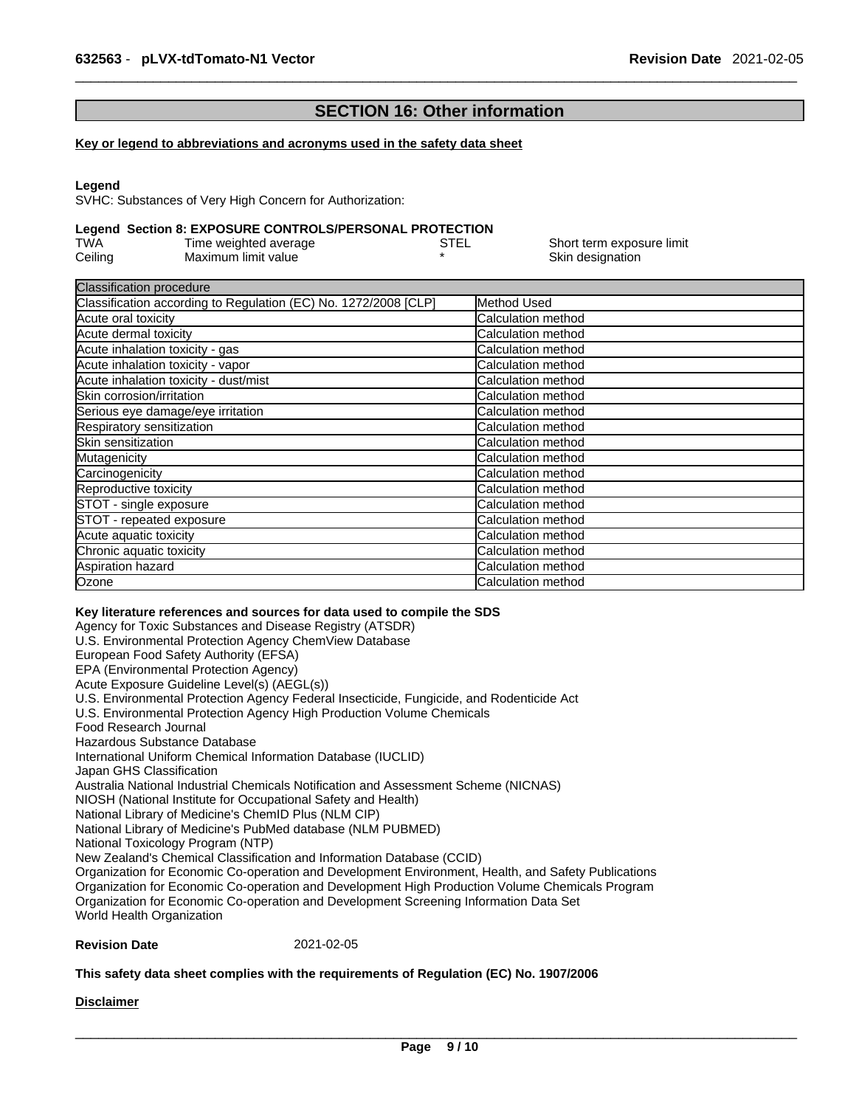# **SECTION 16: Other information**

#### **Key or legend to abbreviations and acronyms used in the safety data sheet**

#### **Legend**

SVHC: Substances of Very High Concern for Authorization:

#### **Legend Section 8: EXPOSURE CONTROLS/PERSONAL PROTECTION**

| TWA     | Time weighted average | STEL | Short term exposure limit |
|---------|-----------------------|------|---------------------------|
| Ceiling | Maximum limit value   |      | Skin designation          |

| Method Used               |
|---------------------------|
| Calculation method        |
| Calculation method        |
| Calculation method        |
| Calculation method        |
| Calculation method        |
| <b>Calculation method</b> |
| Calculation method        |
| Calculation method        |
| Calculation method        |
| Calculation method        |
| Calculation method        |
| <b>Calculation method</b> |
| Calculation method        |
| Calculation method        |
| Calculation method        |
| Calculation method        |
| <b>Calculation method</b> |
| Calculation method        |
|                           |

#### **Key literature references and sources for data used to compile the SDS**

Agency for Toxic Substances and Disease Registry (ATSDR) U.S. Environmental Protection Agency ChemView Database European Food Safety Authority (EFSA) EPA (Environmental Protection Agency) Acute Exposure Guideline Level(s) (AEGL(s)) U.S. Environmental Protection Agency Federal Insecticide, Fungicide, and Rodenticide Act U.S. Environmental Protection Agency High Production Volume Chemicals Food Research Journal Hazardous Substance Database International Uniform Chemical Information Database (IUCLID) Japan GHS Classification Australia National Industrial Chemicals Notification and Assessment Scheme (NICNAS) NIOSH (National Institute for Occupational Safety and Health) National Library of Medicine's ChemID Plus (NLM CIP) National Library of Medicine's PubMed database (NLM PUBMED) National Toxicology Program (NTP) New Zealand's Chemical Classification and Information Database (CCID) Organization for Economic Co-operation and Development Environment, Health, and Safety Publications Organization for Economic Co-operation and Development High Production Volume Chemicals Program Organization for Economic Co-operation and Development Screening Information Data Set World Health Organization

#### **Revision Date** 2021-02-05

#### **This safety data sheet complies with the requirements of Regulation (EC) No. 1907/2006**

#### **Disclaimer**